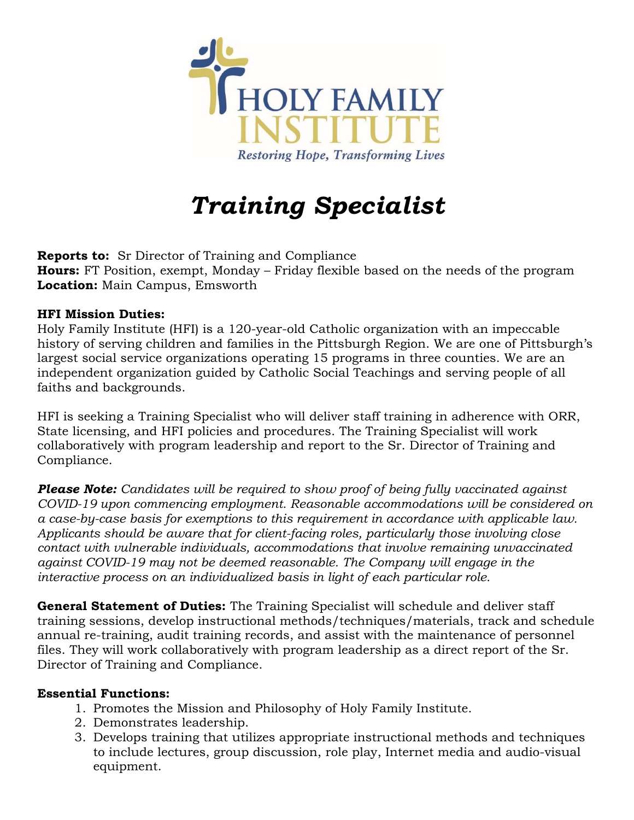

# *Training Specialist*

**Reports to:** Sr Director of Training and Compliance **Hours:** FT Position, exempt, Monday – Friday flexible based on the needs of the program **Location:** Main Campus, Emsworth

### **HFI Mission Duties:**

Holy Family Institute (HFI) is a 120-year-old Catholic organization with an impeccable history of serving children and families in the Pittsburgh Region. We are one of Pittsburgh's largest social service organizations operating 15 programs in three counties. We are an independent organization guided by Catholic Social Teachings and serving people of all faiths and backgrounds.

HFI is seeking a Training Specialist who will deliver staff training in adherence with ORR, State licensing, and HFI policies and procedures. The Training Specialist will work collaboratively with program leadership and report to the Sr. Director of Training and Compliance.

*Please Note: Candidates will be required to show proof of being fully vaccinated against COVID-19 upon commencing employment. Reasonable accommodations will be considered on a case-by-case basis for exemptions to this requirement in accordance with applicable law. Applicants should be aware that for client-facing roles, particularly those involving close contact with vulnerable individuals, accommodations that involve remaining unvaccinated against COVID-19 may not be deemed reasonable. The Company will engage in the interactive process on an individualized basis in light of each particular role.*

**General Statement of Duties:** The Training Specialist will schedule and deliver staff training sessions, develop instructional methods/techniques/materials, track and schedule annual re-training, audit training records, and assist with the maintenance of personnel files. They will work collaboratively with program leadership as a direct report of the Sr. Director of Training and Compliance.

#### **Essential Functions:**

- 1. Promotes the Mission and Philosophy of Holy Family Institute.
- 2. Demonstrates leadership.
- 3. Develops training that utilizes appropriate instructional methods and techniques to include lectures, group discussion, role play, Internet media and audio-visual equipment.